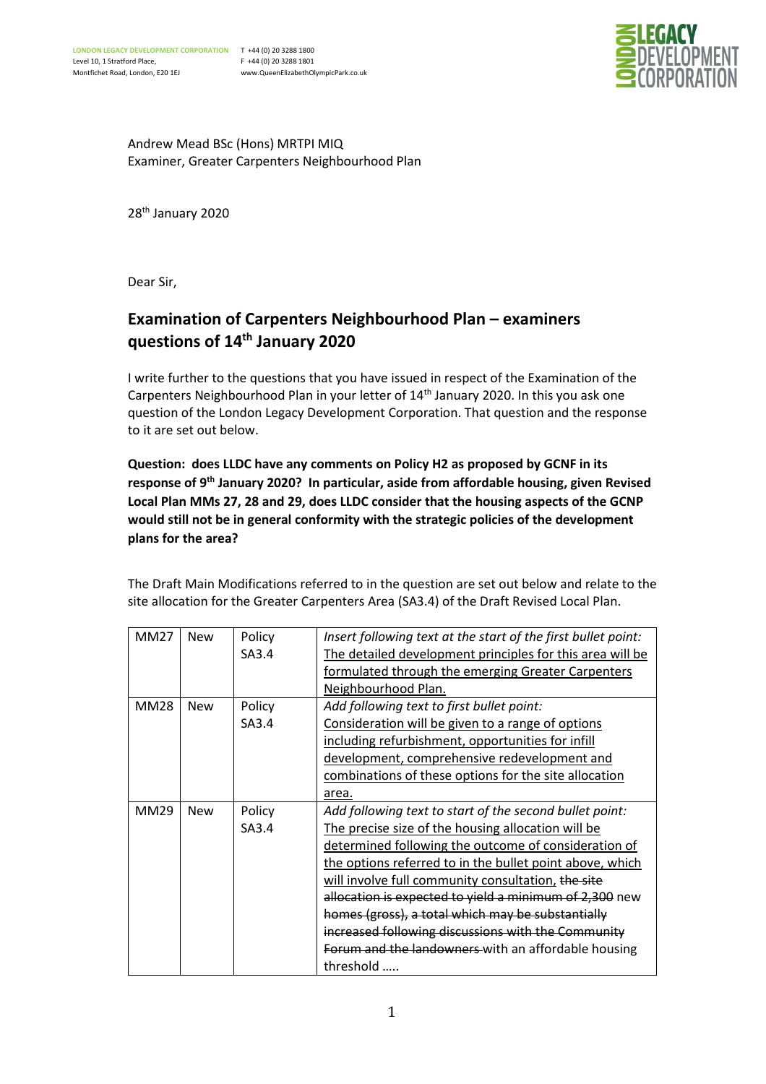

Andrew Mead BSc (Hons) MRTPI MIQ Examiner, Greater Carpenters Neighbourhood Plan

28th January 2020

Dear Sir,

## **Examination of Carpenters Neighbourhood Plan – examiners questions of 14th January 2020**

I write further to the questions that you have issued in respect of the Examination of the Carpenters Neighbourhood Plan in your letter of 14<sup>th</sup> January 2020. In this you ask one question of the London Legacy Development Corporation. That question and the response to it are set out below.

**Question: does LLDC have any comments on Policy H2 as proposed by GCNF in its response of 9th January 2020? In particular, aside from affordable housing, given Revised Local Plan MMs 27, 28 and 29, does LLDC consider that the housing aspects of the GCNP would still not be in general conformity with the strategic policies of the development plans for the area?**

The Draft Main Modifications referred to in the question are set out below and relate to the site allocation for the Greater Carpenters Area (SA3.4) of the Draft Revised Local Plan.

| <b>MM27</b> | <b>New</b> | Policy | Insert following text at the start of the first bullet point: |
|-------------|------------|--------|---------------------------------------------------------------|
|             |            | SA3.4  | The detailed development principles for this area will be     |
|             |            |        | formulated through the emerging Greater Carpenters            |
|             |            |        | Neighbourhood Plan.                                           |
| <b>MM28</b> | <b>New</b> | Policy | Add following text to first bullet point:                     |
|             |            | SA3.4  | Consideration will be given to a range of options             |
|             |            |        | including refurbishment, opportunities for infill             |
|             |            |        | development, comprehensive redevelopment and                  |
|             |            |        | combinations of these options for the site allocation         |
|             |            |        | area.                                                         |
| MM29        | <b>New</b> | Policy | Add following text to start of the second bullet point:       |
|             |            | SA3.4  | The precise size of the housing allocation will be            |
|             |            |        | determined following the outcome of consideration of          |
|             |            |        | the options referred to in the bullet point above, which      |
|             |            |        | will involve full community consultation, the site            |
|             |            |        | allocation is expected to yield a minimum of 2,300 new        |
|             |            |        | homes (gross), a total which may be substantially             |
|             |            |        | increased following discussions with the Community            |
|             |            |        | Forum and the landowners with an affordable housing           |
|             |            |        | threshold                                                     |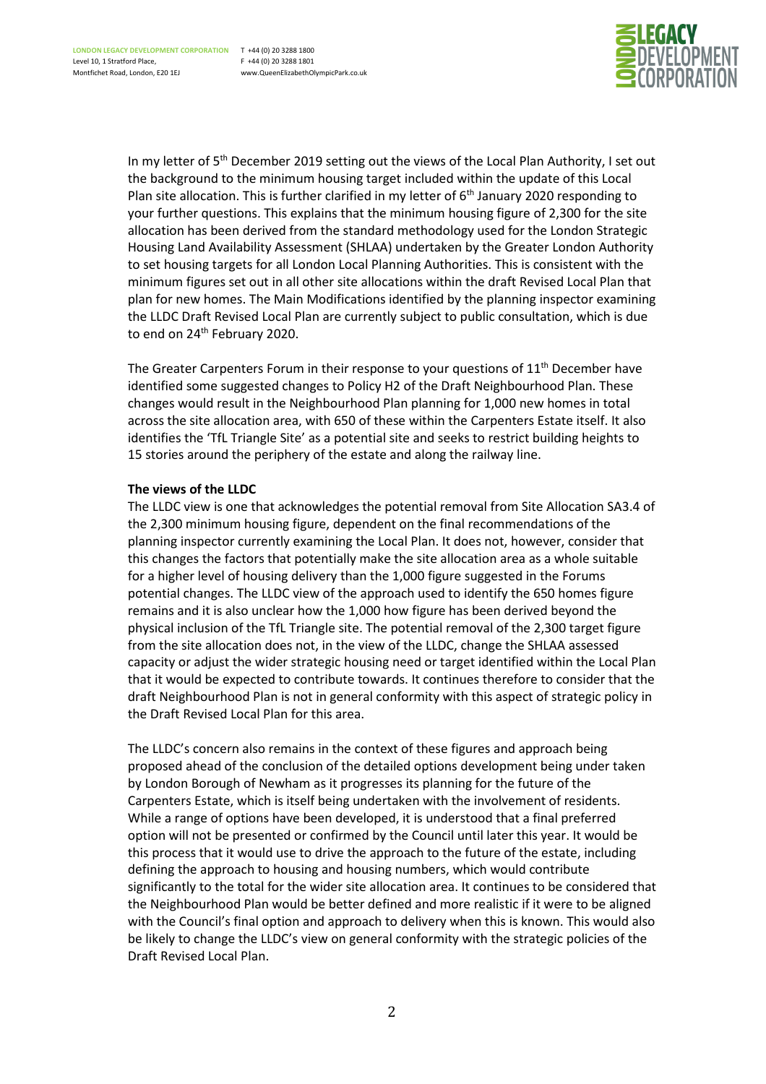

In my letter of 5<sup>th</sup> December 2019 setting out the views of the Local Plan Authority, I set out the background to the minimum housing target included within the update of this Local Plan site allocation. This is further clarified in my letter of  $6<sup>th</sup>$  January 2020 responding to your further questions. This explains that the minimum housing figure of 2,300 for the site allocation has been derived from the standard methodology used for the London Strategic Housing Land Availability Assessment (SHLAA) undertaken by the Greater London Authority to set housing targets for all London Local Planning Authorities. This is consistent with the minimum figures set out in all other site allocations within the draft Revised Local Plan that plan for new homes. The Main Modifications identified by the planning inspector examining the LLDC Draft Revised Local Plan are currently subject to public consultation, which is due to end on 24<sup>th</sup> February 2020.

The Greater Carpenters Forum in their response to your questions of 11<sup>th</sup> December have identified some suggested changes to Policy H2 of the Draft Neighbourhood Plan. These changes would result in the Neighbourhood Plan planning for 1,000 new homes in total across the site allocation area, with 650 of these within the Carpenters Estate itself. It also identifies the 'TfL Triangle Site' as a potential site and seeks to restrict building heights to 15 stories around the periphery of the estate and along the railway line.

## **The views of the LLDC**

The LLDC view is one that acknowledges the potential removal from Site Allocation SA3.4 of the 2,300 minimum housing figure, dependent on the final recommendations of the planning inspector currently examining the Local Plan. It does not, however, consider that this changes the factors that potentially make the site allocation area as a whole suitable for a higher level of housing delivery than the 1,000 figure suggested in the Forums potential changes. The LLDC view of the approach used to identify the 650 homes figure remains and it is also unclear how the 1,000 how figure has been derived beyond the physical inclusion of the TfL Triangle site. The potential removal of the 2,300 target figure from the site allocation does not, in the view of the LLDC, change the SHLAA assessed capacity or adjust the wider strategic housing need or target identified within the Local Plan that it would be expected to contribute towards. It continues therefore to consider that the draft Neighbourhood Plan is not in general conformity with this aspect of strategic policy in the Draft Revised Local Plan for this area.

The LLDC's concern also remains in the context of these figures and approach being proposed ahead of the conclusion of the detailed options development being under taken by London Borough of Newham as it progresses its planning for the future of the Carpenters Estate, which is itself being undertaken with the involvement of residents. While a range of options have been developed, it is understood that a final preferred option will not be presented or confirmed by the Council until later this year. It would be this process that it would use to drive the approach to the future of the estate, including defining the approach to housing and housing numbers, which would contribute significantly to the total for the wider site allocation area. It continues to be considered that the Neighbourhood Plan would be better defined and more realistic if it were to be aligned with the Council's final option and approach to delivery when this is known. This would also be likely to change the LLDC's view on general conformity with the strategic policies of the Draft Revised Local Plan.